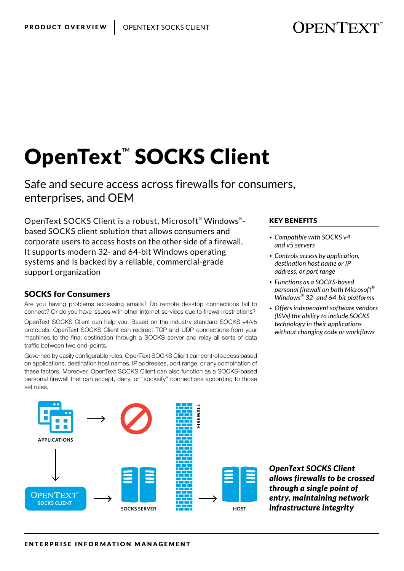**OPENTEXT** 

# OpenText™ SOCKS Client

Safe and secure access across firewalls for consumers, enterprises, and OEM

OpenText SOCKS Client is a robust, Microsoft® Windows® based SOCKS client solution that allows consumers and corporate users to access hosts on the other side of a firewall. It supports modern 32- and 64-bit Windows operating systems and is backed by a reliable, commercial-grade support organization

### SOCKS for Consumers

Are you having problems accessing emails? Do remote desktop connections fail to connect? Or do you have issues with other internet services due to firewall restrictions?

OpenText SOCKS Client can help you. Based on the industry standard SOCKS v4/v5 protocols, OpenText SOCKS Client can redirect TCP and UDP connections from your machines to the final destination through a SOCKS server and relay all sorts of data traffic between two end-points.

Governed by easily configurable rules, OpenText SOCKS Client can control access based on applications, destination host names, IP addresses, port range, or any combination of these factors. Moreover, OpenText SOCKS Client can also function as a SOCKS-based personal firewall that can accept, deny, or "socksify" connections according to those set rules.

#### KEY BENEFITS

- *• Compatible with SOCKS v4 and v5 servers*
- *• Controls access by application, destination host name or IP address, or port range*
- *• Functions as a SOCKS-based personal firewall on both Microsoft® Windows® 32- and 64-bit platforms*
- *• Offers independent software vendors (ISVs) the ability to include SOCKS technology in their applications without changing code or workflows*



*OpenText SOCKS Client allows firewalls to be crossed through a single point of entry, maintaining network infrastructure integrity*